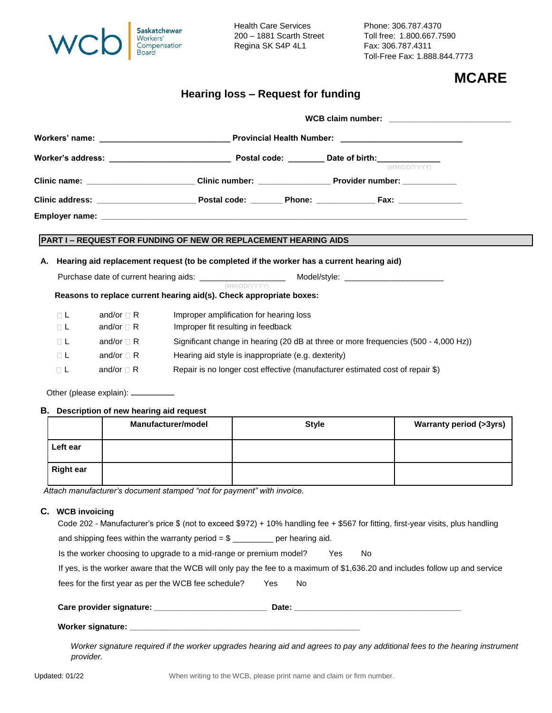| Saskatchewan<br>Workers'<br>Compensation<br><b>Board</b> |
|----------------------------------------------------------|
|                                                          |

Regina SK S4P 4L1 Fax: 306.787.4311

Health Care Services Phone: 306.787.4370 200 – 1881 Scarth Street Toll free: 1.800.667.7590 Toll-Free Fax: 1.888.844.7773

## **MCARE**

## **Hearing loss – Request for funding**

|                                                                                                          |                  |                                        |                                                                                           |              |                                                                               | WCB claim number: WCB claim number: |  |
|----------------------------------------------------------------------------------------------------------|------------------|----------------------------------------|-------------------------------------------------------------------------------------------|--------------|-------------------------------------------------------------------------------|-------------------------------------|--|
|                                                                                                          |                  |                                        |                                                                                           |              |                                                                               |                                     |  |
|                                                                                                          |                  |                                        |                                                                                           |              | (MM/DD/YYYY)                                                                  |                                     |  |
|                                                                                                          |                  |                                        |                                                                                           |              |                                                                               |                                     |  |
|                                                                                                          |                  |                                        |                                                                                           |              |                                                                               |                                     |  |
|                                                                                                          |                  |                                        |                                                                                           |              |                                                                               |                                     |  |
|                                                                                                          |                  |                                        | <b>PART I – REQUEST FOR FUNDING OF NEW OR REPLACEMENT HEARING AIDS</b>                    |              |                                                                               |                                     |  |
| А.                                                                                                       |                  |                                        | Hearing aid replacement request (to be completed if the worker has a current hearing aid) |              |                                                                               |                                     |  |
| Purchase date of current hearing aids: ______________________<br>Model/style: __________________________ |                  |                                        |                                                                                           |              |                                                                               |                                     |  |
|                                                                                                          |                  |                                        | Reasons to replace current hearing aid(s). Check appropriate boxes:                       | (MM/DD/YYYY) |                                                                               |                                     |  |
|                                                                                                          | $\Box$ L         | and/or $\sqcap$ R                      | Improper amplification for hearing loss                                                   |              |                                                                               |                                     |  |
|                                                                                                          | ΠL               | and/or $\sqcap$ R                      | Improper fit resulting in feedback                                                        |              |                                                                               |                                     |  |
|                                                                                                          | $\Box$ L         | and/or $\Box$ R                        | Significant change in hearing (20 dB at three or more frequencies (500 - 4,000 Hz))       |              |                                                                               |                                     |  |
|                                                                                                          | ΠL               | and/or $\Box$ R                        | Hearing aid style is inappropriate (e.g. dexterity)                                       |              |                                                                               |                                     |  |
|                                                                                                          | $\sqcap$ L       | and/or $\sqcap$ R                      |                                                                                           |              | Repair is no longer cost effective (manufacturer estimated cost of repair \$) |                                     |  |
|                                                                                                          |                  | Other (please explain): __________     |                                                                                           |              |                                                                               |                                     |  |
| В.                                                                                                       |                  | Description of new hearing aid request |                                                                                           |              |                                                                               |                                     |  |
|                                                                                                          |                  |                                        | Manufacturer/model                                                                        |              | <b>Style</b>                                                                  | <b>Warranty period (&gt;3yrs)</b>   |  |
|                                                                                                          | Left ear         |                                        |                                                                                           |              |                                                                               |                                     |  |
|                                                                                                          | <b>Right ear</b> |                                        |                                                                                           |              |                                                                               |                                     |  |

*Attach manufacturer's document stamped "not for payment" with invoice.* 

## **C. WCB invoicing**

| Code 202 - Manufacturer's price $$$ (not to exceed $$972$ ) + 10% handling fee + \$567 for fitting, first-year visits, plus handling |
|--------------------------------------------------------------------------------------------------------------------------------------|
| and shipping fees within the warranty period = $\frac{1}{2}$ _________ per hearing aid.                                              |
| Is the worker choosing to upgrade to a mid-range or premium model?<br>No.<br>Yes                                                     |
| If yes, is the worker aware that the WCB will only pay the fee to a maximum of \$1,636.20 and includes follow up and service         |
| fees for the first year as per the WCB fee schedule?<br><b>Yes</b><br>No.                                                            |
|                                                                                                                                      |
|                                                                                                                                      |
| Worker signature required if the worker upgrades hearing aid and agrees to pay any additional fees to the hearing instrument         |